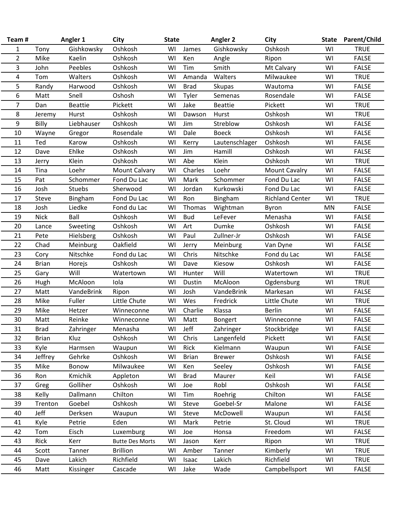| Team#          |              | Angler 1       | City                   | <b>State</b> |              | <b>Angler 2</b> | City                   | <b>State</b> | Parent/Child |
|----------------|--------------|----------------|------------------------|--------------|--------------|-----------------|------------------------|--------------|--------------|
| 1              | Tony         | Gishkowsky     | Oshkosh                | WI           | James        | Gishkowsky      | Oshkosh                | WI           | <b>TRUE</b>  |
| $\overline{2}$ | Mike         | Kaelin         | Oshkosh                | WI           | Ken          | Angle           | Ripon                  | WI           | <b>FALSE</b> |
| 3              | John         | Peebles        | Oshkosh                | WI           | Tim          | Smith           | Mt Calvary             | WI           | <b>FALSE</b> |
| 4              | Tom          | Walters        | Oshkosh                | WI           | Amanda       | Walters         | Milwaukee              | WI           | <b>TRUE</b>  |
| 5              | Randy        | Harwood        | Oshkosh                | WI           | <b>Brad</b>  | Skupas          | Wautoma                | WI           | <b>FALSE</b> |
| 6              | Matt         | Snell          | Oshosh                 | WI           | Tyler        | Semenas         | Rosendale              | WI           | <b>FALSE</b> |
| 7              | Dan          | <b>Beattie</b> | Pickett                | WI           | Jake         | <b>Beattie</b>  | Pickett                | WI           | <b>TRUE</b>  |
| 8              | Jeremy       | Hurst          | Oshkosh                | WI           | Dawson       | Hurst           | Oshkosh                | WI           | <b>TRUE</b>  |
| 9              | Billy        | Liebhauser     | Oshkosh                | WI           | Jim          | Streblow        | Oshkosh                | WI           | <b>FALSE</b> |
| 10             | Wayne        | Gregor         | Rosendale              | WI           | Dale         | <b>Boeck</b>    | Oshkosh                | WI           | <b>FALSE</b> |
| 11             | Ted          | Karow          | Oshkosh                | WI           | Kerry        | Lautenschlager  | Oshkosh                | WI           | <b>FALSE</b> |
| 12             | Dave         | Ehlke          | Oshkosh                | WI           | Jim          | Hamill          | Oshkosh                | WI           | <b>FALSE</b> |
| 13             | Jerry        | Klein          | Oshkosh                | WI           | Abe          | Klein           | Oshkosh                | WI           | <b>TRUE</b>  |
| 14             | Tina         | Loehr          | Mount Calvary          | WI           | Charles      | Loehr           | Mount Cavalry          | WI           | <b>FALSE</b> |
| 15             | Pat          | Schommer       | Fond Du Lac            | WI           | Mark         | Schommer        | Fond Du Lac            | WI           | <b>FALSE</b> |
| 16             | Josh         | <b>Stuebs</b>  | Sherwood               | WI           | Jordan       | Kurkowski       | Fond Du Lac            | WI           | <b>FALSE</b> |
| 17             | <b>Steve</b> | Bingham        | Fond Du Lac            | WI           | Ron          | Bingham         | <b>Richland Center</b> | WI           | <b>TRUE</b>  |
| 18             | Josh         | Liedke         | Fond du Lac            | WI           | Thomas       | Wightman        | Byron                  | MN           | <b>FALSE</b> |
| 19             | <b>Nick</b>  | Ball           | Oshkosh                | WI           | <b>Bud</b>   | LeFever         | Menasha                | WI           | <b>FALSE</b> |
| 20             | Lance        | Sweeting       | Oshkosh                | WI           | Art          | Dumke           | Oshkosh                | WI           | <b>FALSE</b> |
| 21             | Pete         | Hielsberg      | Oshkosh                | WI           | Paul         | Zullner-Jr      | Oshkosh                | WI           | <b>FALSE</b> |
| 22             | Chad         | Meinburg       | Oakfield               | WI           | Jerry        | Meinburg        | Van Dyne               | WI           | <b>FALSE</b> |
| 23             | Cory         | Nitschke       | Fond du Lac            | WI           | Chris        | Nitschke        | Fond du Lac            | WI           | <b>FALSE</b> |
| 24             | <b>Brian</b> | Horejs         | Oshkosh                | WI           | Dave         | Kiesow          | Oshkosh                | WI           | <b>FALSE</b> |
| 25             | Gary         | Will           | Watertown              | WI           | Hunter       | Will            | Watertown              | WI           | <b>TRUE</b>  |
| 26             | Hugh         | McAloon        | Iola                   | WI           | Dustin       | McAloon         | Ogdensburg             | WI           | <b>TRUE</b>  |
| 27             | Matt         | VandeBrink     | Ripon                  | WI           | Josh         | VandeBrink      | Markesan               | WI           | <b>FALSE</b> |
| 28             | Mike         | Fuller         | Little Chute           | WI           | Wes          | Fredrick        | Little Chute           | WI           | <b>TRUE</b>  |
| 29             | Mike         | Hetzer         | Winneconne             | WI           | Charlie      | Klassa          | <b>Berlin</b>          | WI           | <b>FALSE</b> |
| 30             | Matt         | Reinke         | Winneconne             | WI           | Matt         | Bongert         | Winneconne             | WI           | <b>FALSE</b> |
| 31             | <b>Brad</b>  | Zahringer      | Menasha                | WI           | Jeff         | Zahringer       | Stockbridge            | WI           | <b>FALSE</b> |
| 32             | <b>Brian</b> | Kluz           | Oshkosh                | WI           | Chris        | Langenfeld      | Pickett                | WI           | <b>FALSE</b> |
| 33             | Kyle         | Harmsen        | Waupun                 | WI           | Rick         | Kielmann        | Waupun                 | WI           | <b>FALSE</b> |
| 34             | Jeffrey      | Gehrke         | Oshkosh                | WI           | <b>Brian</b> | <b>Brewer</b>   | Oshkosh                | WI           | <b>FALSE</b> |
| 35             | Mike         | Bonow          | Milwaukee              | WI           | Ken          | Seeley          | Oshkosh                | WI           | <b>FALSE</b> |
| 36             | Ron          | Kmichik        | Appleton               | WI           | <b>Brad</b>  | Maurer          | Keil                   | WI           | <b>FALSE</b> |
| 37             | Greg         | Golliher       | Oshkosh                | WI           | Joe          | Robl            | Oshkosh                | WI           | <b>FALSE</b> |
| 38             | Kelly        | Dallmann       | Chilton                | WI           | Tim          | Roehrig         | Chilton                | WI           | <b>FALSE</b> |
| 39             | Trenton      | Goebel         | Oshkosh                | WI           | Steve        | Goebel-Sr       | Malone                 | WI           | <b>FALSE</b> |
| 40             | Jeff         | Derksen        | Waupun                 | WI           | Steve        | McDowell        | Waupun                 | WI           | <b>FALSE</b> |
| 41             | Kyle         | Petrie         | Eden                   | WI           | Mark         | Petrie          | St. Cloud              | WI           | <b>TRUE</b>  |
| 42             | Tom          | Eisch          | Luxemburg              | WI           | Joe          | Honsa           | Freedom                | WI           | <b>FALSE</b> |
| 43             | Rick         | Kerr           | <b>Butte Des Morts</b> | WI           | Jason        | Kerr            | Ripon                  | WI           | <b>TRUE</b>  |
| 44             | Scott        | Tanner         | <b>Brillion</b>        | WI           | Amber        | Tanner          | Kimberly               | WI           | <b>TRUE</b>  |
| 45             | Dave         | Lakich         | Richfield              | WI           | Isaac        | Lakich          | Richfield              | WI           | <b>TRUE</b>  |
| 46             | Matt         | Kissinger      | Cascade                | WI           | Jake         | Wade            | Campbellsport          | WI           | <b>FALSE</b> |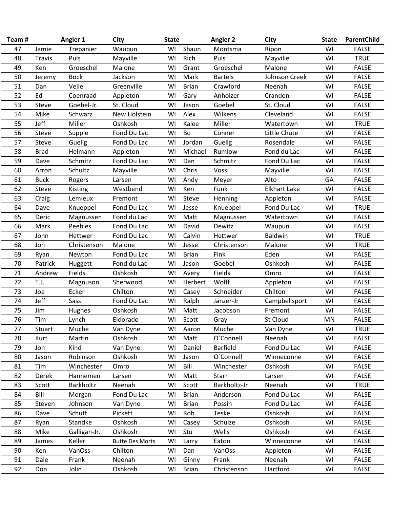| Team# |               | Angler 1     | City                   | <b>State</b> |              | <b>Angler 2</b> | City                | <b>State</b> | ParentChild  |
|-------|---------------|--------------|------------------------|--------------|--------------|-----------------|---------------------|--------------|--------------|
| 47    | Jamie         | Trepanier    | Waupun                 | WI           | Shaun        | Montsma         | Ripon               | WI           | <b>FALSE</b> |
| 48    | <b>Travis</b> | Puls         | Mayville               | WI           | Rich         | Puls            | Mayville            | WI           | <b>TRUE</b>  |
| 49    | Ken           | Groeschel    | Malone                 | WI           | Grant        | Groeschel       | Malone              | WI           | <b>FALSE</b> |
| 50    | Jeremy        | <b>Bock</b>  | Jackson                | WI           | Mark         | <b>Bartels</b>  | Johnson Creek       | WI           | <b>FALSE</b> |
| 51    | Dan           | Velie        | Greenville             | WI           | <b>Brian</b> | Crawford        | Neenah              | WI           | <b>FALSE</b> |
| 52    | Ed            | Coenraad     | Appleton               | WI           | Gary         | Anholzer        | Crandon             | WI           | <b>FALSE</b> |
| 53    | Steve         | Goebel-Jr.   | St. Cloud              | WI           | Jason        | Goebel          | St. Cloud           | WI           | <b>FALSE</b> |
| 54    | Mike          | Schwarz      | New Holstein           | WI           | Alex         | Wilkens         | Cleveland           | WI           | <b>FALSE</b> |
| 55    | Jeff          | Miller       | Oshkosh                | WI           | Kalee        | Miller          | Watertown           | WI           | <b>TRUE</b>  |
| 56    | Steve         | Supple       | Fond Du Lac            | WI           | Bo           | Conner          | Little Chute        | WI           | <b>FALSE</b> |
| 57    | Steve         | Guelig       | Fond Du Lac            | WI           | Jordan       | Guelig          | Rosendale           | WI           | <b>FALSE</b> |
| 58    | <b>Brad</b>   | Heimann      | Appleton               | WI           | Michael      | Rumlow          | Fond du Lac         | WI           | <b>FALSE</b> |
| 59    | Dave          | Schmitz      | Fond Du Lac            | WI           | Dan          | Schmitz         | Fond Du Lac         | WI           | <b>FALSE</b> |
| 60    | Arron         | Schultz      | Mayville               | WI           | Chris        | Voss            | Mayville            | WI           | <b>FALSE</b> |
| 61    | <b>Buck</b>   | Rogers       | Larsen                 | WI           | Andy         | Meyer           | Alto                | GA           | <b>FALSE</b> |
| 62    | Steve         | Kisting      | Westbend               | WI           | Ken          | Funk            | <b>Elkhart Lake</b> | WI           | <b>FALSE</b> |
| 63    | Craig         | Lemieux      | Fremont                | WI           | Steve        | Henning         | Appleton            | WI           | <b>FALSE</b> |
| 64    | Dave          | Knueppel     | Fond Du Lac            | WI           | Jesse        | Knueppel        | Fond Du Lac         | WI           | <b>TRUE</b>  |
| 65    | Deric         | Magnussen    | Fond du Lac            | WI           | Matt         | Magnussen       | Watertown           | WI           | <b>FALSE</b> |
| 66    | Mark          | Peebles      | Fond Du Lac            | WI           | David        | Dewitz          | Waupun              | WI           | <b>FALSE</b> |
| 67    | John          | Hettwer      | Fond Du Lac            | WI           | Calvin       | Hettwer         | <b>Baldwin</b>      | WI           | <b>TRUE</b>  |
| 68    | Jon           | Christenson  | Malone                 | WI           | Jesse        | Christenson     | Malone              | WI           | <b>TRUE</b>  |
| 69    | Ryan          | Newton       | Fond Du Lac            | WI           | <b>Brian</b> | Fink            | Eden                | WI           | <b>FALSE</b> |
| 70    | Patrick       | Huggett      | Fond du Lac            | WI           | Jason        | Goebel          | Oshkosh             | WI           | <b>FALSE</b> |
| 71    | Andrew        | Fields       | Oshkosh                | WI           | Avery        | Fields          | Omro                | WI           | <b>FALSE</b> |
| 72    | T.J.          | Magnuson     | Sherwood               | WI           | Herbert      | Wolff           | Appleton            | WI           | <b>FALSE</b> |
| 73    | Joe           | Ecker        | Chilton                | WI           | Casey        | Schneider       | Chilton             | WI           | <b>FALSE</b> |
| 74    | Jeff          | Sass         | Fond Du Lac            | WI           | Ralph        | Janzer-Jr       | Campbellsport       | WI           | <b>FALSE</b> |
| 75    | Jim           | Hughes       | Oshkosh                | WI           | Matt         | Jacobson        | Fremont             | WI           | <b>FALSE</b> |
| 76    | Tim           | Lynch        | Eldorado               | WI           | Scott        | Gray            | St Cloud            | MN           | <b>FALSE</b> |
| 77    | <b>Stuart</b> | Muche        | Van Dyne               | WI           | Aaron        | Muche           | Van Dyne            | WI           | <b>TRUE</b>  |
| 78    | Kurt          | Martin       | Oshkosh                | WI           | Matt         | O'Connell       | Neenah              | WI           | <b>FALSE</b> |
| 79    | Jon           | Kind         | Van Dyne               | WI           | Daniel       | <b>Barfield</b> | Fond Du Lac         | WI           | <b>FALSE</b> |
| 80    | Jason         | Robinson     | Oshkosh                | WI           | Jason        | O'Connell       | Winneconne          | WI           | <b>FALSE</b> |
| 81    | Tim           | Winchester   | Omro                   | WI           | Bill         | Winchester      | Oshkosh             | WI           | <b>FALSE</b> |
| 82    | Derek         | Hannemen     | Larsen                 | WI           | Matt         | <b>Starr</b>    | Larsen              | WI           | <b>FALSE</b> |
| 83    | Scott         | Barkholtz    | Neenah                 | WI           | Scott        | Barkholtz-Jr    | Neenah              | WI           | <b>TRUE</b>  |
| 84    | Bill          | Morgan       | Fond Du Lac            | WI           | <b>Brian</b> | Anderson        | Fond Du Lac         | WI           | <b>FALSE</b> |
| 85    | Steven        | Johnson      | Van Dyne               | WI           | <b>Brian</b> | Possin          | Fond Du Lac         | WI           | <b>FALSE</b> |
| 86    | Dave          | Schutt       | Pickett                | WI           | Rob          | Teske           | Oshkosh             | WI           | <b>FALSE</b> |
| 87    | Ryan          | Standke      | Oshkosh                | WI           | Casey        | Schulze         | Oshkosh             | WI           | <b>FALSE</b> |
| 88    | Mike          | Galligan-Jr. | Oshkosh                | WI           | Stu          | Wells           | Oshkosh             | WI           | <b>FALSE</b> |
| 89    | James         | Keller       | <b>Butte Des Morts</b> | WI           | Larry        | Eaton           | Winneconne          | WI           | <b>FALSE</b> |
| 90    | Ken           | VanOss       | Chilton                | WI           | Dan          | VanOss          | Appleton            | WI           | <b>FALSE</b> |
| 91    | Dale          | Frank        | Neenah                 | WI           | Ginny        | Frank           | Neenah              | WI           | <b>FALSE</b> |
| 92    | Don           | Jolin        | Oshkosh                | WI           | <b>Brian</b> | Christenson     | Hartford            | WI           | <b>FALSE</b> |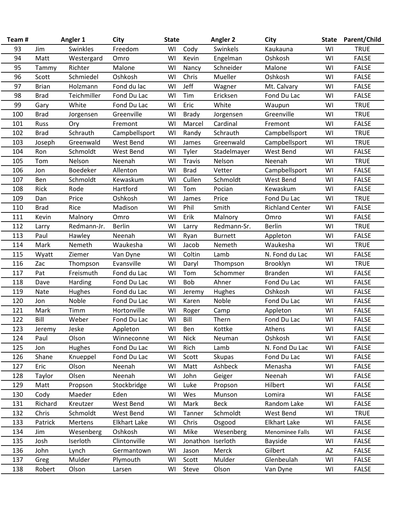| Team# |              | Angler 1    | City                | <b>State</b> |               | <b>Angler 2</b> | City                   | <b>State</b> | Parent/Child |
|-------|--------------|-------------|---------------------|--------------|---------------|-----------------|------------------------|--------------|--------------|
| 93    | Jim          | Swinkles    | Freedom             | WI           | Cody          | Swinkels        | Kaukauna               | WI           | <b>TRUE</b>  |
| 94    | Matt         | Westergard  | Omro                | WI           | Kevin         | Engelman        | Oshkosh                | WI           | <b>FALSE</b> |
| 95    | Tammy        | Richter     | Malone              | WI           | Nancy         | Schneider       | Malone                 | WI           | <b>FALSE</b> |
| 96    | Scott        | Schmiedel   | Oshkosh             | WI           | Chris         | Mueller         | Oshkosh                | WI           | <b>FALSE</b> |
| 97    | <b>Brian</b> | Holzmann    | Fond du lac         | WI           | Jeff          | Wagner          | Mt. Calvary            | WI           | <b>FALSE</b> |
| 98    | <b>Brad</b>  | Teichmiller | Fond Du Lac         | WI           | Tim           | Ericksen        | Fond Du Lac            | WI           | <b>FALSE</b> |
| 99    | Gary         | White       | Fond Du Lac         | WI           | Eric          | White           | Waupun                 | WI           | <b>TRUE</b>  |
| 100   | <b>Brad</b>  | Jorgensen   | Greenville          | WI           | <b>Brady</b>  | Jorgensen       | Greenville             | WI           | <b>TRUE</b>  |
| 101   | Russ         | Ory         | Fremont             | WI           | Marcel        | Cardinal        | Fremont                | WI           | <b>FALSE</b> |
| 102   | <b>Brad</b>  | Schrauth    | Campbellsport       | WI           | Randy         | Schrauth        | Campbellsport          | WI           | <b>TRUE</b>  |
| 103   | Joseph       | Greenwald   | West Bend           | WI           | James         | Greenwald       | Campbellsport          | WI           | <b>TRUE</b>  |
| 104   | Ron          | Schmoldt    | West Bend           | WI           | Tyler         | Stadelmayer     | West Bend              | WI           | <b>FALSE</b> |
| 105   | Tom          | Nelson      | Neenah              | WI           | <b>Travis</b> | Nelson          | Neenah                 | WI           | <b>TRUE</b>  |
| 106   | Jon          | Boedeker    | Allenton            | WI           | <b>Brad</b>   | Vetter          | Campbellsport          | WI           | <b>FALSE</b> |
| 107   | Ben          | Schmoldt    | Kewaskum            | WI           | Cullen        | Schmoldt        | West Bend              | WI           | <b>FALSE</b> |
| 108   | Rick         | Rode        | Hartford            | WI           | Tom           | Pocian          | Kewaskum               | WI           | <b>FALSE</b> |
| 109   | Dan          | Price       | Oshkosh             | WI           | James         | Price           | Fond Du Lac            | WI           | <b>TRUE</b>  |
| 110   | <b>Brad</b>  | Rice        | Madison             | WI           | Phil          | Smith           | <b>Richland Center</b> | WI           | <b>FALSE</b> |
| 111   | Kevin        | Malnory     | Omro                | WI           | Erik          | Malnory         | Omro                   | WI           | <b>FALSE</b> |
| 112   | Larry        | Redmann-Jr. | <b>Berlin</b>       | WI           | Larry         | Redmann-Sr.     | <b>Berlin</b>          | WI           | <b>TRUE</b>  |
| 113   | Paul         | Hawley      | Neenah              | WI           | Ryan          | <b>Burnett</b>  | Appleton               | WI           | <b>FALSE</b> |
| 114   | Mark         | Nemeth      | Waukesha            | WI           | Jacob         | Nemeth          | Waukesha               | WI           | <b>TRUE</b>  |
| 115   | Wyatt        | Ziemer      | Van Dyne            | WI           | Coltin        | Lamb            | N. Fond du Lac         | WI           | <b>FALSE</b> |
| 116   | Zac          | Thompson    | Evansville          | WI           | Daryl         | Thompson        | Brooklyn               | WI           | <b>TRUE</b>  |
| 117   | Pat          | Freismuth   | Fond du Lac         | WI           | Tom           | Schommer        | <b>Branden</b>         | WI           | <b>FALSE</b> |
| 118   | Dave         | Harding     | Fond Du Lac         | WI           | Bob           | Ahner           | Fond Du Lac            | WI           | <b>FALSE</b> |
| 119   | Nate         | Hughes      | Fond du Lac         | WI           | Jeremy        | Hughes          | Oshkosh                | WI           | <b>FALSE</b> |
| 120   | Jon          | Noble       | Fond Du Lac         | WI           | Karen         | Noble           | Fond Du Lac            | WI           | <b>FALSE</b> |
| 121   | Mark         | Timm        | Hortonville         | WI           | Roger         | Camp            | Appleton               | WI           | <b>FALSE</b> |
| 122   | Bill         | Weber       | Fond Du Lac         | WI           | Bill          | Thern           | Fond Du Lac            | WI           | <b>FALSE</b> |
| 123   | Jeremy       | Jeske       | Appleton            | WI           | Ben           | Kottke          | Athens                 | WI           | <b>FALSE</b> |
| 124   | Paul         | Olson       | Winneconne          | WI           | <b>Nick</b>   | Neuman          | Oshkosh                | WI           | <b>FALSE</b> |
| 125   | Jon          | Hughes      | Fond Du Lac         | WI           | Rich          | Lamb            | N. Fond Du Lac         | WI           | <b>FALSE</b> |
| 126   | Shane        | Knueppel    | Fond Du Lac         | WI           | Scott         | Skupas          | Fond Du Lac            | WI           | <b>FALSE</b> |
| 127   | Eric         | Olson       | Neenah              | WI           | Matt          | Ashbeck         | Menasha                | WI           | <b>FALSE</b> |
| 128   | Taylor       | Olsen       | Neenah              | WI           | John          | Geiger          | Neenah                 | WI           | <b>FALSE</b> |
| 129   | Matt         | Propson     | Stockbridge         | WI           | Luke          | Propson         | Hilbert                | WI           | <b>FALSE</b> |
| 130   | Cody         | Maeder      | Eden                | WI           | Wes           | Munson          | Lomira                 | WI           | <b>FALSE</b> |
| 131   | Richard      | Kreutzer    | West Bend           | WI           | Mark          | <b>Beck</b>     | Random Lake            | WI           | <b>FALSE</b> |
| 132   | Chris        | Schmoldt    | West Bend           | WI           | Tanner        | Schmoldt        | West Bend              | WI           | <b>TRUE</b>  |
| 133   | Patrick      | Mertens     | <b>Elkhart Lake</b> | WI           | Chris         | Osgood          | <b>Elkhart Lake</b>    | WI           | <b>FALSE</b> |
| 134   | Jim          | Wesenberg   | Oshkosh             | WI           | Mike          | Wesenberg       | Menominee Falls        | WI           | <b>FALSE</b> |
| 135   | Josh         | Iserloth    | Clintonville        | WI           | Jonathon      | Iserloth        | Bayside                | WI           | <b>FALSE</b> |
| 136   | John         | Lynch       | Germantown          | WI           | Jason         | Merck           | Gilbert                | AZ           | <b>FALSE</b> |
| 137   | Greg         | Mulder      | Plymouth            | WI           | Scott         | Mulder          | Glenbeulah             | WI           | <b>FALSE</b> |
| 138   | Robert       | Olson       | Larsen              | WI           | Steve         | Olson           | Van Dyne               | WI           | <b>FALSE</b> |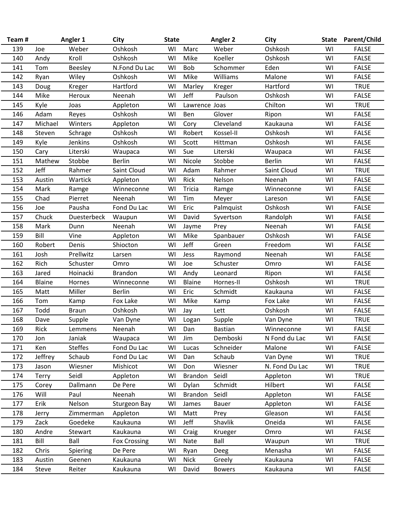| Team# |               | Angler 1       | City                | <b>State</b> |               | <b>Angler 2</b> | City           | <b>State</b> | <b>Parent/Child</b> |
|-------|---------------|----------------|---------------------|--------------|---------------|-----------------|----------------|--------------|---------------------|
| 139   | Joe           | Weber          | Oshkosh             | WI           | Marc          | Weber           | Oshkosh        | WI           | <b>FALSE</b>        |
| 140   | Andy          | Kroll          | Oshkosh             | WI           | Mike          | Koeller         | Oshkosh        | WI           | <b>FALSE</b>        |
| 141   | Tom           | Beesley        | N.Fond Du Lac       | WI           | Bob           | Schommer        | Eden           | WI           | <b>FALSE</b>        |
| 142   | Ryan          | Wiley          | Oshkosh             | WI           | Mike          | Williams        | Malone         | WI           | <b>FALSE</b>        |
| 143   | Doug          | Kreger         | Hartford            | WI           | Marley        | Kreger          | Hartford       | WI           | <b>TRUE</b>         |
| 144   | Mike          | Heroux         | Neenah              | WI           | Jeff          | Paulson         | Oshkosh        | WI           | <b>FALSE</b>        |
| 145   | Kyle          | Joas           | Appleton            | WI           | Lawrence Joas |                 | Chilton        | WI           | <b>TRUE</b>         |
| 146   | Adam          | Reyes          | Oshkosh             | WI           | Ben           | Glover          | Ripon          | WI           | <b>FALSE</b>        |
| 147   | Michael       | Winters        | Appleton            | WI           | Cory          | Cleveland       | Kaukauna       | WI           | <b>FALSE</b>        |
| 148   | Steven        | Schrage        | Oshkosh             | WI           | Robert        | Kossel-II       | Oshkosh        | WI           | <b>FALSE</b>        |
| 149   | Kyle          | Jenkins        | Oshkosh             | WI           | Scott         | Hittman         | Oshkosh        | WI           | <b>FALSE</b>        |
| 150   | Cary          | Literski       | Waupaca             | WI           | Sue           | Literski        | Waupaca        | WI           | <b>FALSE</b>        |
| 151   | Mathew        | Stobbe         | <b>Berlin</b>       | WI           | Nicole        | Stobbe          | <b>Berlin</b>  | WI           | <b>FALSE</b>        |
| 152   | Jeff          | Rahmer         | Saint Cloud         | WI           | Adam          | Rahmer          | Saint Cloud    | WI           | <b>TRUE</b>         |
| 153   | Austin        | Wartick        | Appleton            | WI           | Rick          | Nelson          | Neenah         | WI           | <b>FALSE</b>        |
| 154   | Mark          | Ramge          | Winneconne          | WI           | Tricia        | Ramge           | Winneconne     | WI           | <b>FALSE</b>        |
| 155   | Chad          | Pierret        | Neenah              | WI           | Tim           | Meyer           | Lareson        | WI           | <b>FALSE</b>        |
| 156   | Joe           | Pausha         | Fond Du Lac         | WI           | Eric          | Palmquist       | Oshkosh        | WI           | <b>FALSE</b>        |
| 157   | Chuck         | Duesterbeck    | Waupun              | WI           | David         | Syvertson       | Randolph       | WI           | <b>FALSE</b>        |
| 158   | Mark          | Dunn           | Neenah              | WI           | Jayme         | Prey            | Neenah         | WI           | <b>FALSE</b>        |
| 159   | Bill          | Vine           | Appleton            | WI           | Mike          | Spanbauer       | Oshkosh        | WI           | <b>FALSE</b>        |
| 160   | Robert        | Denis          | Shiocton            | WI           | Jeff          | Green           | Freedom        | WI           | <b>FALSE</b>        |
| 161   | Josh          | Prellwitz      | Larsen              | WI           | Jess          | Raymond         | Neenah         | WI           | <b>FALSE</b>        |
| 162   | Rich          | Schuster       | Omro                | WI           | Joe           | Schuster        | Omro           | WI           | <b>FALSE</b>        |
| 163   | Jared         | Hoinacki       | <b>Brandon</b>      | WI           | Andy          | Leonard         | Ripon          | WI           | <b>FALSE</b>        |
| 164   | <b>Blaine</b> | Hornes         | Winneconne          | WI           | Blaine        | Hornes-II       | Oshkosh        | WI           | <b>TRUE</b>         |
| 165   | Matt          | Miller         | <b>Berlin</b>       | WI           | Eric          | Schmidt         | Kaukauna       | WI           | <b>FALSE</b>        |
| 166   | Tom           | Kamp           | Fox Lake            | WI           | Mike          | Kamp            | Fox Lake       | WI           | <b>FALSE</b>        |
| 167   | Todd          | <b>Braun</b>   | Oshkosh             | WI           | Jay           | Lett            | Oshkosh        | WI           | <b>FALSE</b>        |
| 168   | Dave          | Supple         | Van Dyne            | WI           | Logan         | Supple          | Van Dyne       | WI           | <b>TRUE</b>         |
| 169   | Rick          | Lemmens        | Neenah              | WI           | Dan           | <b>Bastian</b>  | Winneconne     | WI           | <b>FALSE</b>        |
| 170   | Jon           | Janiak         | Waupaca             | WI           | Jim           | Demboski        | N Fond du Lac  | WI           | <b>FALSE</b>        |
| 171   | Ken           | <b>Steffes</b> | Fond Du Lac         | WI           | Lucas         | Schneider       | Malone         | WI           | <b>FALSE</b>        |
| 172   | Jeffrey       | Schaub         | Fond Du Lac         | WI           | Dan           | Schaub          | Van Dyne       | WI           | <b>TRUE</b>         |
| 173   | Jason         | Wiesner        | Mishicot            | WI           | Don           | Wiesner         | N. Fond Du Lac | WI           | <b>TRUE</b>         |
| 174   | Terry         | Seidl          | Appleton            | WI           | Brandon       | Seidl           | Appleton       | WI           | <b>TRUE</b>         |
| 175   | Corey         | Dallmann       | De Pere             | WI           | Dylan         | Schmidt         | Hilbert        | WI           | <b>FALSE</b>        |
| 176   | Will          | Paul           | Neenah              | WI           | Brandon       | Seidl           | Appleton       | WI           | <b>FALSE</b>        |
| 177   | Erik          | Nelson         | Sturgeon Bay        | WI           | James         | Bauer           | Appleton       | WI           | <b>FALSE</b>        |
| 178   | Jerry         | Zimmerman      | Appleton            | WI           | Matt          | Prey            | Gleason        | WI           | <b>FALSE</b>        |
| 179   | Zack          | Goedeke        | Kaukauna            | WI           | Jeff          | Shavlik         | Oneida         | WI           | <b>FALSE</b>        |
| 180   | Andre         | Stewart        | Kaukauna            | WI           | Craig         | Krueger         | Omro           | WI           | <b>FALSE</b>        |
| 181   | Bill          | Ball           | <b>Fox Crossing</b> | WI           | Nate          | Ball            | Waupun         | WI           | <b>TRUE</b>         |
| 182   | Chris         | Spiering       | De Pere             | WI           | Ryan          | Deeg            | Menasha        | WI           | <b>FALSE</b>        |
| 183   | Austin        | Geenen         | Kaukauna            | WI           | <b>Nick</b>   | Greely          | Kaukauna       | WI           | <b>FALSE</b>        |
| 184   | Steve         | Reiter         | Kaukauna            | WI           | David         | <b>Bowers</b>   | Kaukauna       | WI           | <b>FALSE</b>        |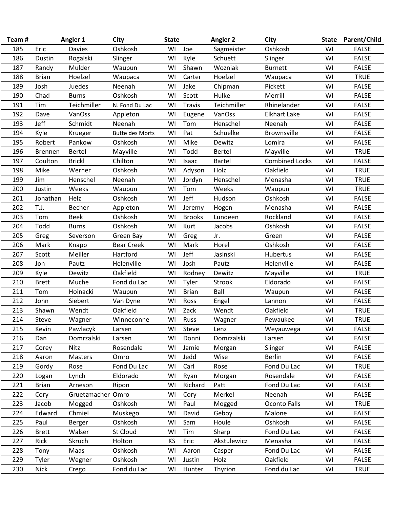| Team# |                | Angler 1          | City                   | <b>State</b> |               | <b>Angler 2</b> | <b>City</b>           | <b>State</b> | Parent/Child |
|-------|----------------|-------------------|------------------------|--------------|---------------|-----------------|-----------------------|--------------|--------------|
| 185   | Eric           | <b>Davies</b>     | Oshkosh                | WI           | Joe           | Sagmeister      | Oshkosh               | WI           | <b>FALSE</b> |
| 186   | Dustin         | Rogalski          | Slinger                | WI           | Kyle          | Schuett         | Slinger               | WI           | <b>FALSE</b> |
| 187   | Randy          | Mulder            | Waupun                 | WI           | Shawn         | Wozniak         | <b>Burnett</b>        | WI           | <b>FALSE</b> |
| 188   | <b>Brian</b>   | Hoelzel           | Waupaca                | WI           | Carter        | Hoelzel         | Waupaca               | WI           | <b>TRUE</b>  |
| 189   | Josh           | Juedes            | Neenah                 | WI           | Jake          | Chipman         | Pickett               | WI           | <b>FALSE</b> |
| 190   | Chad           | <b>Burns</b>      | Oshkosh                | WI           | Scott         | Hulke           | Merrill               | WI           | <b>FALSE</b> |
| 191   | Tim            | Teichmiller       | N. Fond Du Lac         | WI           | <b>Travis</b> | Teichmiller     | Rhinelander           | WI           | <b>FALSE</b> |
| 192   | Dave           | VanOss            | Appleton               | WI           | Eugene        | VanOss          | <b>Elkhart Lake</b>   | WI           | <b>FALSE</b> |
| 193   | Jeff           | Schmidt           | Neenah                 | WI           | Tom           | Henschel        | Neenah                | WI           | <b>FALSE</b> |
| 194   | Kyle           | Krueger           | <b>Butte des Morts</b> | WI           | Pat           | Schuelke        | <b>Brownsville</b>    | WI           | <b>FALSE</b> |
| 195   | Robert         | Pankow            | Oshkosh                | WI           | Mike          | Dewitz          | Lomira                | WI           | <b>FALSE</b> |
| 196   | <b>Brennen</b> | <b>Bertel</b>     | Mayville               | WI           | Todd          | <b>Bertel</b>   | Mayville              | WI           | <b>TRUE</b>  |
| 197   | Coulton        | <b>Brickl</b>     | Chilton                | WI           | Isaac         | <b>Bartel</b>   | <b>Combined Locks</b> | WI           | <b>FALSE</b> |
| 198   | Mike           | Werner            | Oshkosh                | WI           | Adyson        | Holz            | Oakfield              | WI           | <b>TRUE</b>  |
| 199   | Jim            | Henschel          | Neenah                 | WI           | Jordyn        | Henschel        | Menasha               | WI           | <b>TRUE</b>  |
| 200   | Justin         | Weeks             | Waupun                 | WI           | Tom           | Weeks           | Waupun                | WI           | <b>TRUE</b>  |
| 201   | Jonathan       | Helz              | Oshkosh                | WI           | Jeff          | Hudson          | Oshkosh               | WI           | <b>FALSE</b> |
| 202   | T.J.           | Becher            | Appleton               | WI           | Jeremy        | Hogen           | Menasha               | WI           | <b>FALSE</b> |
| 203   | Tom            | <b>Beek</b>       | Oshkosh                | WI           | <b>Brooks</b> | Lundeen         | Rockland              | WI           | <b>FALSE</b> |
| 204   | Todd           | <b>Burns</b>      | Oshkosh                | WI           | Kurt          | Jacobs          | Oshkosh               | WI           | <b>FALSE</b> |
| 205   | Greg           | Severson          | Green Bay              | WI           | Greg          | Jr.             | Green                 | WI           | <b>FALSE</b> |
| 206   | Mark           | Knapp             | <b>Bear Creek</b>      | WI           | Mark          | Horel           | Oshkosh               | WI           | <b>FALSE</b> |
| 207   | Scott          | Meiller           | Hartford               | WI           | Jeff          | Jasinski        | Hubertus              | WI           | <b>FALSE</b> |
| 208   | Jon            | Pautz             | Helenville             | WI           | Josh          | Pautz           | Helenville            | WI           | <b>FALSE</b> |
| 209   | Kyle           | Dewitz            | Oakfield               | WI           | Rodney        | Dewitz          | Mayville              | WI           | <b>TRUE</b>  |
| 210   | <b>Brett</b>   | Muche             | Fond du Lac            | WI           | Tyler         | Strook          | Eldorado              | WI           | <b>FALSE</b> |
| 211   | Tom            | Hoinacki          | Waupun                 | WI           | <b>Brian</b>  | Ball            | Waupun                | WI           | <b>FALSE</b> |
| 212   | John           | Siebert           | Van Dyne               | WI           | Ross          | Engel           | Lannon                | WI           | <b>FALSE</b> |
| 213   | Shawn          | Wendt             | Oakfield               | WI           | Zack          | Wendt           | Oakfield              | WI           | <b>TRUE</b>  |
| 214   | Steve          | Wagner            | Winneconne             | WI           | Russ          | Wagner          | Pewaukee              | WI           | <b>TRUE</b>  |
| 215   | Kevin          | Pawlacyk          | Larsen                 | WI           | Steve         | Lenz            | Weyauwega             | WI           | <b>FALSE</b> |
| 216   | Dan            | Domrzalski        | Larsen                 | WI           | Donni         | Domrzalski      | Larsen                | WI           | <b>FALSE</b> |
| 217   | Corey          | Nitz              | Rosendale              | WI           | Jamie         | Morgan          | Slinger               | WI           | <b>FALSE</b> |
| 218   | Aaron          | Masters           | Omro                   | WI           | Jedd          | Wise            | <b>Berlin</b>         | WI           | <b>FALSE</b> |
| 219   | Gordy          | Rose              | Fond Du Lac            | WI           | Carl          | Rose            | Fond Du Lac           | WI           | <b>TRUE</b>  |
| 220   | Logan          | Lynch             | Eldorado               | WI           | Ryan          | Morgan          | Rosendale             | WI           | <b>FALSE</b> |
| 221   | <b>Brian</b>   | Arneson           | Ripon                  | WI           | Richard       | Patt            | Fond Du Lac           | WI           | <b>FALSE</b> |
| 222   | Cory           | Gruetzmacher Omro |                        | WI           | Cory          | Merkel          | Neenah                | WI           | <b>FALSE</b> |
| 223   | Jacob          | Mogged            | Oshkosh                | WI           | Paul          | Mogged          | <b>Oconto Falls</b>   | WI           | <b>TRUE</b>  |
| 224   | Edward         | Chmiel            | Muskego                | WI           | David         | Geboy           | Malone                | WI           | <b>FALSE</b> |
| 225   | Paul           | Berger            | Oshkosh                | WI           | Sam           | Houle           | Oshkosh               | WI           | <b>FALSE</b> |
| 226   | <b>Brett</b>   | Walser            | St Cloud               | WI           | Tim           | Sharp           | Fond Du Lac           | WI           | <b>FALSE</b> |
| 227   | Rick           | Skruch            | Holton                 | ΚS           | Eric          | Akstulewicz     | Menasha               | WI           | <b>FALSE</b> |
| 228   | Tony           | Maas              | Oshkosh                | WI           | Aaron         | Casper          | Fond Du Lac           | WI           | <b>FALSE</b> |
| 229   | Tyler          | Wegner            | Oshkosh                | WI           | Justin        | Holz            | Oakfield              | WI           | <b>FALSE</b> |
| 230   | <b>Nick</b>    | Crego             | Fond du Lac            | WI           | Hunter        | Thyrion         | Fond du Lac           | WI           | <b>TRUE</b>  |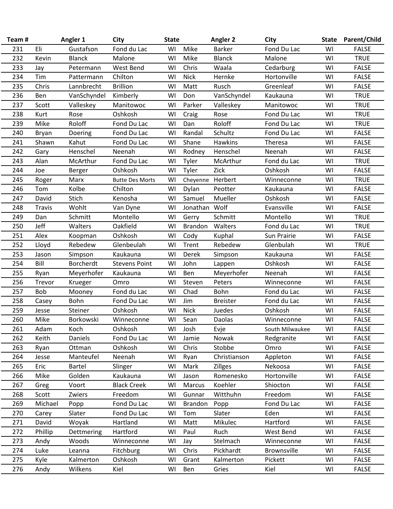| Team# |               | Angler 1      | City                   | <b>State</b> |                  | <b>Angler 2</b> | City            | <b>State</b> | Parent/Child |
|-------|---------------|---------------|------------------------|--------------|------------------|-----------------|-----------------|--------------|--------------|
| 231   | Eli           | Gustafson     | Fond du Lac            | WI           | Mike             | <b>Barker</b>   | Fond Du Lac     | WI           | <b>FALSE</b> |
| 232   | Kevin         | <b>Blanck</b> | Malone                 | WI           | Mike             | <b>Blanck</b>   | Malone          | WI           | <b>TRUE</b>  |
| 233   | Jay           | Petermann     | West Bend              | WI           | Chris            | Waala           | Cedarburg       | WI           | <b>FALSE</b> |
| 234   | Tim           | Pattermann    | Chilton                | WI           | <b>Nick</b>      | Hernke          | Hortonville     | WI           | <b>FALSE</b> |
| 235   | Chris         | Lannbrecht    | <b>Brillion</b>        | WI           | Matt             | Rusch           | Greenleaf       | WI           | <b>FALSE</b> |
| 236   | Ben           | VanSchyndel   | Kimberly               | WI           | Don              | VanSchyndel     | Kaukauna        | WI           | <b>TRUE</b>  |
| 237   | Scott         | Valleskey     | Manitowoc              | WI           | Parker           | Valleskey       | Manitowoc       | WI           | <b>TRUE</b>  |
| 238   | Kurt          | Rose          | Oshkosh                | WI           | Craig            | Rose            | Fond Du Lac     | WI           | <b>TRUE</b>  |
| 239   | Mike          | Roloff        | Fond Du Lac            | WI           | Dan              | Roloff          | Fond Du Lac     | WI           | <b>TRUE</b>  |
| 240   | Bryan         | Doering       | Fond Du Lac            | WI           | Randal           | Schultz         | Fond Du Lac     | WI           | <b>FALSE</b> |
| 241   | Shawn         | Kahut         | Fond Du Lac            | WI           | Shane            | <b>Hawkins</b>  | Theresa         | WI           | <b>FALSE</b> |
| 242   | Gary          | Henschel      | Neenah                 | WI           | Rodney           | Henschel        | Neenah          | WI           | <b>FALSE</b> |
| 243   | Alan          | McArthur      | Fond Du Lac            | WI           | Tyler            | McArthur        | Fond du Lac     | WI           | <b>TRUE</b>  |
| 244   | Joe           | Berger        | Oshkosh                | WI           | Tyler            | Zick            | Oshkosh         | WI           | <b>FALSE</b> |
| 245   | Roger         | Marx          | <b>Butte Des Morts</b> | WI           | Cheyenne Herbert |                 | Winneconne      | WI           | <b>TRUE</b>  |
| 246   | Tom           | Kolbe         | Chilton                | WI           | Dylan            | Peotter         | Kaukauna        | WI           | <b>FALSE</b> |
| 247   | David         | Stich         | Kenosha                | WI           | Samuel           | Mueller         | Oshkosh         | WI           | <b>FALSE</b> |
| 248   | <b>Travis</b> | Wohlt         | Van Dyne               | WI           | Jonathan Wolf    |                 | Evansville      | WI           | <b>FALSE</b> |
| 249   | Dan           | Schmitt       | Montello               | WI           | Gerry            | Schmitt         | Montello        | WI           | <b>TRUE</b>  |
| 250   | Jeff          | Walters       | Oakfield               | WI           | Brandon          | Walters         | Fond du Lac     | WI           | <b>TRUE</b>  |
| 251   | Alex          | Koopman       | Oshkosh                | WI           | Cody             | Kuphal          | Sun Prairie     | WI           | <b>FALSE</b> |
| 252   | Lloyd         | Rebedew       | Glenbeulah             | WI           | Trent            | Rebedew         | Glenbulah       | WI           | <b>TRUE</b>  |
| 253   | Jason         | Simpson       | Kaukauna               | WI           | Derek            | Simpson         | Kaukauna        | WI           | <b>FALSE</b> |
| 254   | Bill          | Borcherdt     | <b>Stevens Point</b>   | WI           | John             | Lappen          | Oshkosh         | WI           | <b>FALSE</b> |
| 255   | Ryan          | Meyerhofer    | Kaukauna               | WI           | Ben              | Meyerhofer      | Neenah          | WI           | <b>FALSE</b> |
| 256   | Trevor        | Krueger       | Omro                   | WI           | Steven           | Peters          | Winneconne      | WI           | <b>FALSE</b> |
| 257   | Bob           | Mooney        | Fond du Lac            | WI           | Chad             | Bohn            | Fond du Lac     | WI           | <b>FALSE</b> |
| 258   | Casey         | Bohn          | Fond Du Lac            | WI           | Jim              | <b>Breister</b> | Fond du Lac     | WI           | <b>FALSE</b> |
| 259   | Jesse         | Steiner       | Oshkosh                | WI           | <b>Nick</b>      | Juedes          | Oshkosh         | WI           | <b>FALSE</b> |
| 260   | Mike          | Borkowski     | Winneconne             | WI           | Sean             | Daolas          | Winneconne      | WI           | <b>FALSE</b> |
| 261   | Adam          | Koch          | Oshkosh                | WI           | Josh             | Evje            | South Milwaukee | WI           | <b>FALSE</b> |
| 262   | Keith         | Daniels       | Fond Du Lac            | WI           | Jamie            | Nowak           | Redgranite      | WI           | <b>FALSE</b> |
| 263   | Ryan          | Ottman        | Oshkosh                | WI           | Chris            | Stobbe          | Omro            | WI           | <b>FALSE</b> |
| 264   | Jesse         | Manteufel     | Neenah                 | WI           | Ryan             | Christianson    | Appleton        | WI           | <b>FALSE</b> |
| 265   | Eric          | <b>Bartel</b> | Slinger                | WI           | Mark             | <b>Zillges</b>  | Nekoosa         | WI           | <b>FALSE</b> |
| 266   | Mike          | Golden        | Kaukauna               | WI           | Jason            | Romenesko       | Hortonville     | WI           | <b>FALSE</b> |
| 267   | Greg          | Voort         | <b>Black Creek</b>     | WI           | Marcus           | Koehler         | Shiocton        | WI           | <b>FALSE</b> |
| 268   | Scott         | Zwiers        | Freedom                | WI           | Gunnar           | Witthuhn        | Freedom         | WI           | <b>FALSE</b> |
| 269   | Michael       | Popp          | Fond Du Lac            | WI           | <b>Brandon</b>   | Popp            | Fond Du Lac     | WI           | <b>FALSE</b> |
| 270   | Carey         | Slater        | Fond Du Lac            | WI           | Tom              | Slater          | Eden            | WI           | <b>FALSE</b> |
| 271   | David         | Woyak         | Hartland               | WI           | Matt             | Mikulec         | Hartford        | WI           | <b>FALSE</b> |
| 272   | Phillip       | Dettmering    | Hartford               | WI           | Paul             | Ruch            | West Bend       | WI           | <b>FALSE</b> |
| 273   | Andy          | Woods         | Winneconne             | WI           | Jay              | Stelmach        | Winneconne      | WI           | <b>FALSE</b> |
| 274   | Luke          | Leanna        | Fitchburg              | WI           | Chris            | Pickhardt       | Brownsville     | WI           | <b>FALSE</b> |
| 275   | Kyle          | Kalmerton     | Oshkosh                | WI           | Grant            | Kalmerton       | Pickett         | WI           | <b>FALSE</b> |
| 276   | Andy          | Wilkens       | Kiel                   | WI           | Ben              | Gries           | Kiel            | WI           | <b>FALSE</b> |